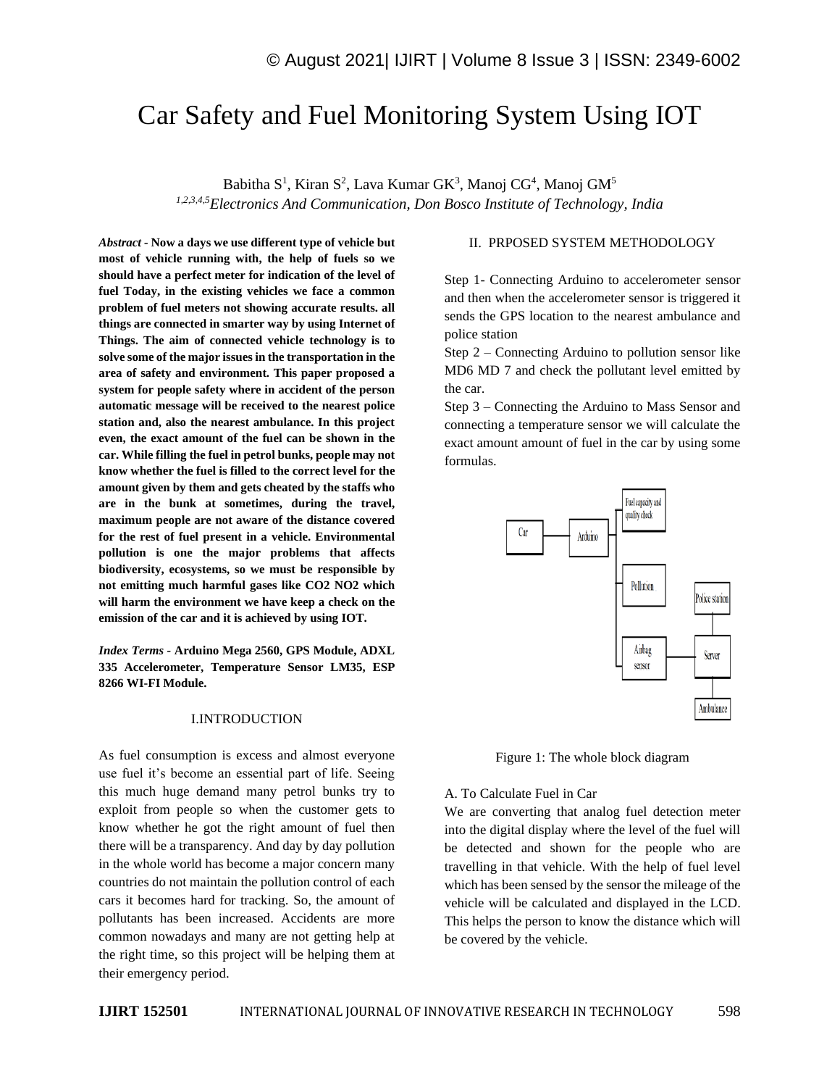# Car Safety and Fuel Monitoring System Using IOT

Babitha S<sup>1</sup>, Kiran S<sup>2</sup>, Lava Kumar GK<sup>3</sup>, Manoj CG<sup>4</sup>, Manoj GM<sup>5</sup> *1,2,3,4,5Electronics And Communication, Don Bosco Institute of Technology, India*

*Abstract -* **Now a days we use different type of vehicle but most of vehicle running with, the help of fuels so we should have a perfect meter for indication of the level of fuel Today, in the existing vehicles we face a common problem of fuel meters not showing accurate results. all things are connected in smarter way by using Internet of Things. The aim of connected vehicle technology is to solve some of the major issues in the transportation in the area of safety and environment. This paper proposed a system for people safety where in accident of the person automatic message will be received to the nearest police station and, also the nearest ambulance. In this project even, the exact amount of the fuel can be shown in the car. While filling the fuel in petrol bunks, people may not know whether the fuel is filled to the correct level for the amount given by them and gets cheated by the staffs who are in the bunk at sometimes, during the travel, maximum people are not aware of the distance covered for the rest of fuel present in a vehicle. Environmental pollution is one the major problems that affects biodiversity, ecosystems, so we must be responsible by not emitting much harmful gases like CO2 NO2 which will harm the environment we have keep a check on the emission of the car and it is achieved by using IOT.**

*Index Terms -* **Arduino Mega 2560, GPS Module, ADXL 335 Accelerometer, Temperature Sensor LM35, ESP 8266 WI-FI Module.**

#### I.INTRODUCTION

As fuel consumption is excess and almost everyone use fuel it's become an essential part of life. Seeing this much huge demand many petrol bunks try to exploit from people so when the customer gets to know whether he got the right amount of fuel then there will be a transparency. And day by day pollution in the whole world has become a major concern many countries do not maintain the pollution control of each cars it becomes hard for tracking. So, the amount of pollutants has been increased. Accidents are more common nowadays and many are not getting help at the right time, so this project will be helping them at their emergency period.

#### II. PRPOSED SYSTEM METHODOLOGY

Step 1- Connecting Arduino to accelerometer sensor and then when the accelerometer sensor is triggered it sends the GPS location to the nearest ambulance and police station

Step 2 – Connecting Arduino to pollution sensor like MD6 MD 7 and check the pollutant level emitted by the car.

Step 3 – Connecting the Arduino to Mass Sensor and connecting a temperature sensor we will calculate the exact amount amount of fuel in the car by using some formulas.



Figure 1: The whole block diagram

A. To Calculate Fuel in Car

We are converting that analog fuel detection meter into the digital display where the level of the fuel will be detected and shown for the people who are travelling in that vehicle. With the help of fuel level which has been sensed by the sensor the mileage of the vehicle will be calculated and displayed in the LCD. This helps the person to know the distance which will be covered by the vehicle.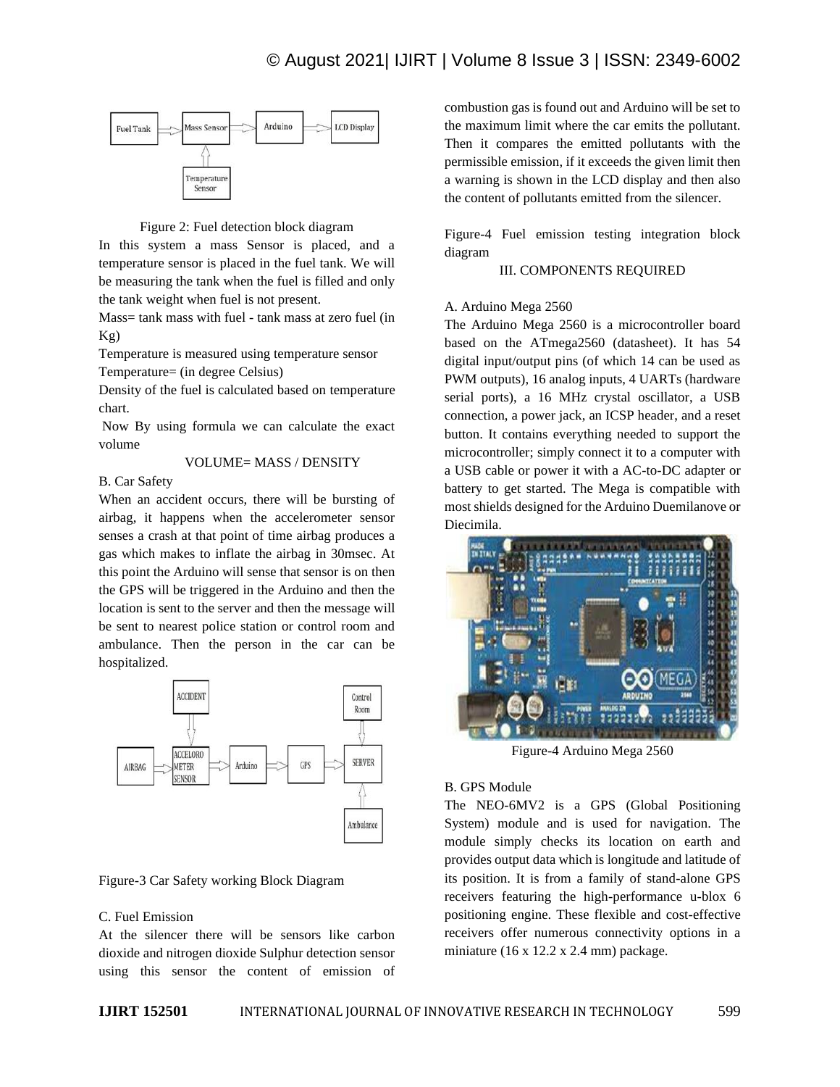

#### Figure 2: Fuel detection block diagram

In this system a mass Sensor is placed, and a temperature sensor is placed in the fuel tank. We will be measuring the tank when the fuel is filled and only the tank weight when fuel is not present.

Mass= tank mass with fuel - tank mass at zero fuel (in Kg)

Temperature is measured using temperature sensor

Temperature= (in degree Celsius)

Density of the fuel is calculated based on temperature chart.

Now By using formula we can calculate the exact volume

#### VOLUME= MASS / DENSITY

B. Car Safety

When an accident occurs, there will be bursting of airbag, it happens when the accelerometer sensor senses a crash at that point of time airbag produces a gas which makes to inflate the airbag in 30msec. At this point the Arduino will sense that sensor is on then the GPS will be triggered in the Arduino and then the location is sent to the server and then the message will be sent to nearest police station or control room and ambulance. Then the person in the car can be hospitalized.



#### Figure-3 Car Safety working Block Diagram

#### C. Fuel Emission

At the silencer there will be sensors like carbon dioxide and nitrogen dioxide Sulphur detection sensor using this sensor the content of emission of combustion gas is found out and Arduino will be set to the maximum limit where the car emits the pollutant. Then it compares the emitted pollutants with the permissible emission, if it exceeds the given limit then a warning is shown in the LCD display and then also the content of pollutants emitted from the silencer.

Figure-4 Fuel emission testing integration block diagram

# III. COMPONENTS REQUIRED

#### A. Arduino Mega 2560

The Arduino Mega 2560 is a microcontroller board based on the ATmega2560 (datasheet). It has 54 digital input/output pins (of which 14 can be used as PWM outputs), 16 analog inputs, 4 UARTs (hardware serial ports), a 16 MHz crystal oscillator, a USB connection, a power jack, an ICSP header, and a reset button. It contains everything needed to support the microcontroller; simply connect it to a computer with a USB cable or power it with a AC-to-DC adapter or battery to get started. The Mega is compatible with most shields designed for the Arduino Duemilanove or Diecimila.



Figure-4 Arduino Mega 2560

# B. GPS Module

The NEO-6MV2 is a GPS (Global Positioning System) module and is used for navigation. The module simply checks its location on earth and provides output data which is longitude and latitude of its position. It is from a family of stand-alone GPS receivers featuring the high-performance u-blox 6 positioning engine. These flexible and cost-effective receivers offer numerous connectivity options in a miniature (16 x 12.2 x 2.4 mm) package.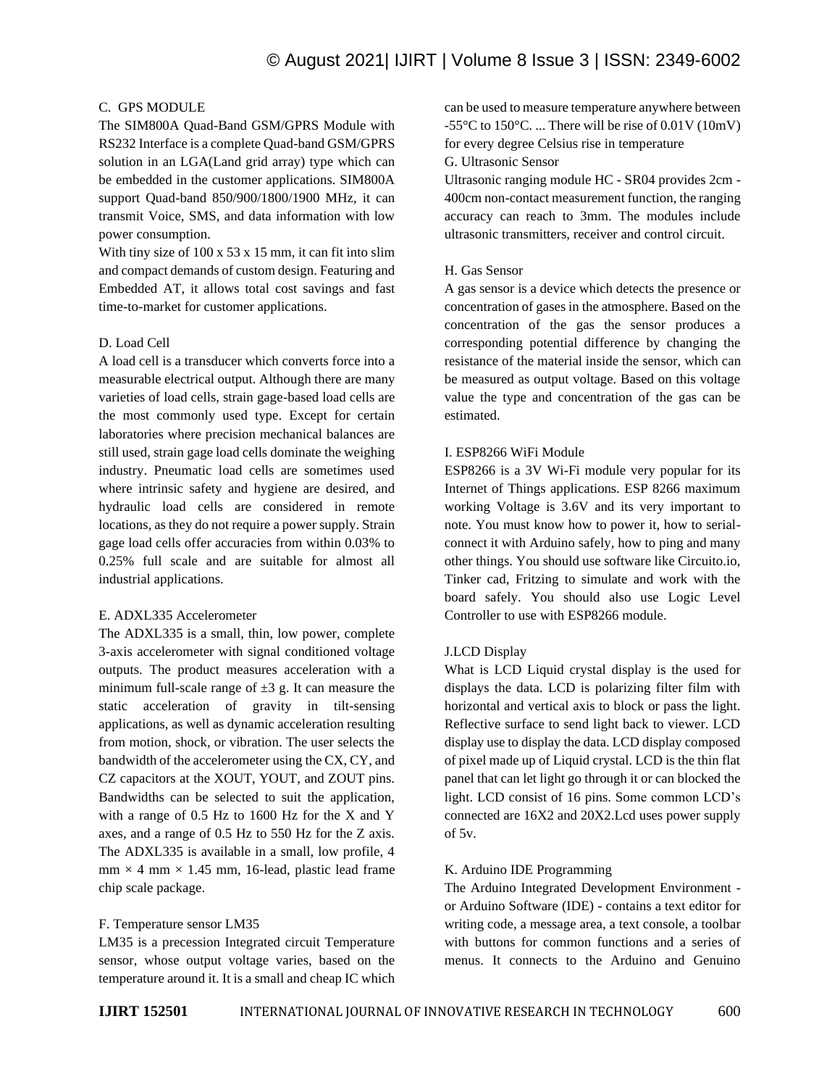## C. GPS MODULE

The SIM800A Quad-Band GSM/GPRS Module with RS232 Interface is a complete Quad-band GSM/GPRS solution in an LGA(Land grid array) type which can be embedded in the customer applications. SIM800A support Quad-band 850/900/1800/1900 MHz, it can transmit Voice, SMS, and data information with low power consumption.

With tiny size of 100 x 53 x 15 mm, it can fit into slim and compact demands of custom design. Featuring and Embedded AT, it allows total cost savings and fast time-to-market for customer applications.

#### D. Load Cell

A load cell is a transducer which converts force into a measurable electrical output. Although there are many varieties of load cells, strain gage-based load cells are the most commonly used type. Except for certain laboratories where precision mechanical balances are still used, strain gage load cells dominate the weighing industry. Pneumatic load cells are sometimes used where intrinsic safety and hygiene are desired, and hydraulic load cells are considered in remote locations, as they do not require a power supply. Strain gage load cells offer accuracies from within 0.03% to 0.25% full scale and are suitable for almost all industrial applications.

#### E. ADXL335 Accelerometer

The ADXL335 is a small, thin, low power, complete 3-axis accelerometer with signal conditioned voltage outputs. The product measures acceleration with a minimum full-scale range of  $\pm 3$  g. It can measure the static acceleration of gravity in tilt-sensing applications, as well as dynamic acceleration resulting from motion, shock, or vibration. The user selects the bandwidth of the accelerometer using the CX, CY, and CZ capacitors at the XOUT, YOUT, and ZOUT pins. Bandwidths can be selected to suit the application, with a range of 0.5 Hz to 1600 Hz for the X and Y axes, and a range of 0.5 Hz to 550 Hz for the Z axis. The ADXL335 is available in a small, low profile, 4  $mm \times 4 mm \times 1.45 mm$ , 16-lead, plastic lead frame chip scale package.

# F. Temperature sensor LM35

LM35 is a precession Integrated circuit Temperature sensor, whose output voltage varies, based on the temperature around it. It is a small and cheap IC which can be used to measure temperature anywhere between  $-55^{\circ}$ C to  $150^{\circ}$ C. ... There will be rise of  $0.01V(10mV)$ for every degree Celsius rise in temperature G. Ultrasonic Sensor

Ultrasonic ranging module HC - SR04 provides 2cm - 400cm non-contact measurement function, the ranging accuracy can reach to 3mm. The modules include ultrasonic transmitters, receiver and control circuit.

#### H. Gas Sensor

A gas sensor is a device which detects the presence or concentration of gases in the atmosphere. Based on the concentration of the gas the sensor produces a corresponding potential difference by changing the resistance of the material inside the sensor, which can be measured as output voltage. Based on this voltage value the type and concentration of the gas can be estimated.

#### I. ESP8266 WiFi Module

ESP8266 is a 3V Wi-Fi module very popular for its Internet of Things applications. ESP 8266 maximum working Voltage is 3.6V and its very important to note. You must know how to power it, how to serialconnect it with Arduino safely, how to ping and many other things. You should use software like Circuito.io, Tinker cad, Fritzing to simulate and work with the board safely. You should also use Logic Level Controller to use with ESP8266 module.

# J.LCD Display

What is LCD Liquid crystal display is the used for displays the data. LCD is polarizing filter film with horizontal and vertical axis to block or pass the light. Reflective surface to send light back to viewer. LCD display use to display the data. LCD display composed of pixel made up of Liquid crystal. LCD is the thin flat panel that can let light go through it or can blocked the light. LCD consist of 16 pins. Some common LCD's connected are 16X2 and 20X2.Lcd uses power supply of 5v.

#### K. Arduino IDE Programming

The Arduino Integrated Development Environment or Arduino Software (IDE) - contains a text editor for writing code, a message area, a text console, a toolbar with buttons for common functions and a series of menus. It connects to the Arduino and Genuino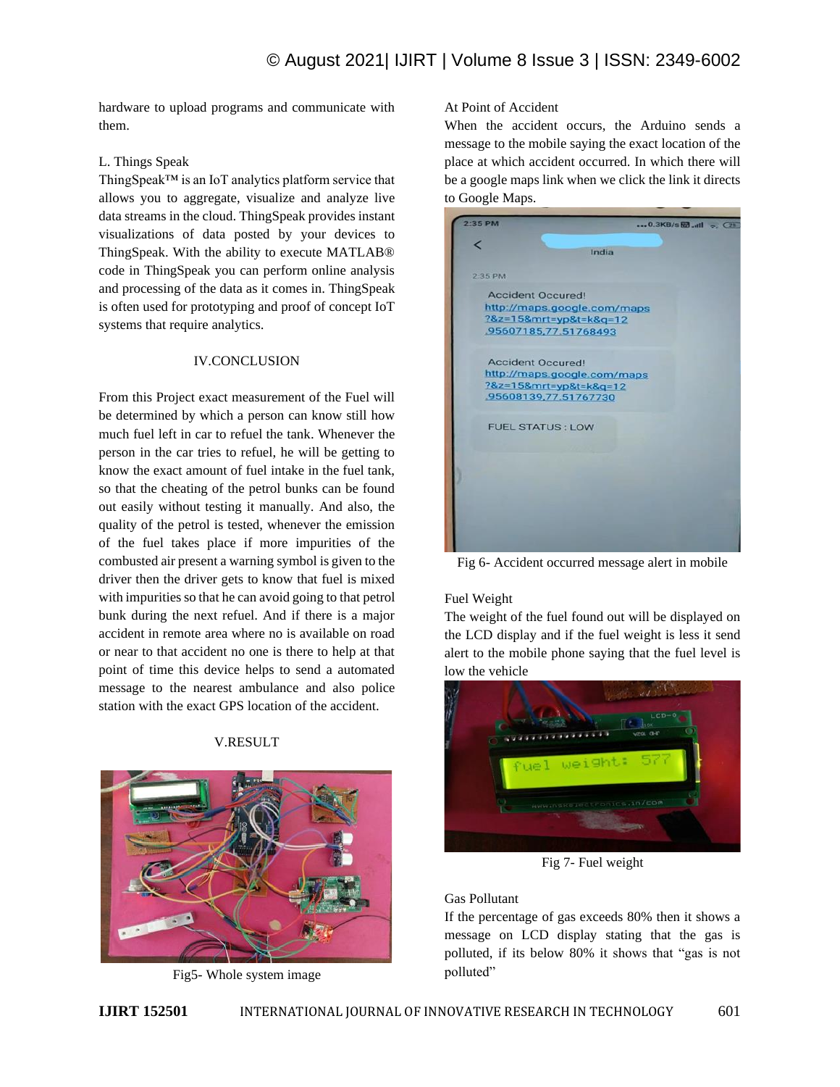hardware to upload programs and communicate with them.

# L. Things Speak

ThingSpeak™ is an IoT analytics platform service that allows you to aggregate, visualize and analyze live data streams in the cloud. ThingSpeak provides instant visualizations of data posted by your devices to ThingSpeak. With the ability to execute MATLAB® code in ThingSpeak you can perform online analysis and processing of the data as it comes in. ThingSpeak is often used for prototyping and proof of concept IoT systems that require analytics.

# IV.CONCLUSION

From this Project exact measurement of the Fuel will be determined by which a person can know still how much fuel left in car to refuel the tank. Whenever the person in the car tries to refuel, he will be getting to know the exact amount of fuel intake in the fuel tank, so that the cheating of the petrol bunks can be found out easily without testing it manually. And also, the quality of the petrol is tested, whenever the emission of the fuel takes place if more impurities of the combusted air present a warning symbol is given to the driver then the driver gets to know that fuel is mixed with impurities so that he can avoid going to that petrol bunk during the next refuel. And if there is a major accident in remote area where no is available on road or near to that accident no one is there to help at that point of time this device helps to send a automated message to the nearest ambulance and also police station with the exact GPS location of the accident.

# V.RESULT



Fig5- Whole system image

# At Point of Accident

When the accident occurs, the Arduino sends a message to the mobile saying the exact location of the place at which accident occurred. In which there will be a google maps link when we click the link it directs to Google Maps.

| $2:35$ PM                   | 0.3KB/s &     (25 |
|-----------------------------|-------------------|
|                             |                   |
|                             | India             |
| $2-35$ PM                   |                   |
| <b>Accident Occured!</b>    |                   |
| http://maps.google.com/maps |                   |
| ?&z=15&mrt=yp&t=k&q=12      |                   |
| 95607185,77.51768493        |                   |
| <b>Accident Occured!</b>    |                   |
| http://maps.google.com/maps |                   |
| ?&z=15&mrt=yp&t=k&q=12      |                   |
| 95608139,77.51767730        |                   |
| <b>FUEL STATUS: LOW</b>     |                   |
|                             |                   |
|                             |                   |
|                             |                   |
|                             |                   |
|                             |                   |
|                             |                   |
|                             |                   |
|                             |                   |

Fig 6- Accident occurred message alert in mobile

# Fuel Weight

The weight of the fuel found out will be displayed on the LCD display and if the fuel weight is less it send alert to the mobile phone saying that the fuel level is low the vehicle



Fig 7- Fuel weight

# Gas Pollutant

If the percentage of gas exceeds 80% then it shows a message on LCD display stating that the gas is polluted, if its below 80% it shows that "gas is not polluted"